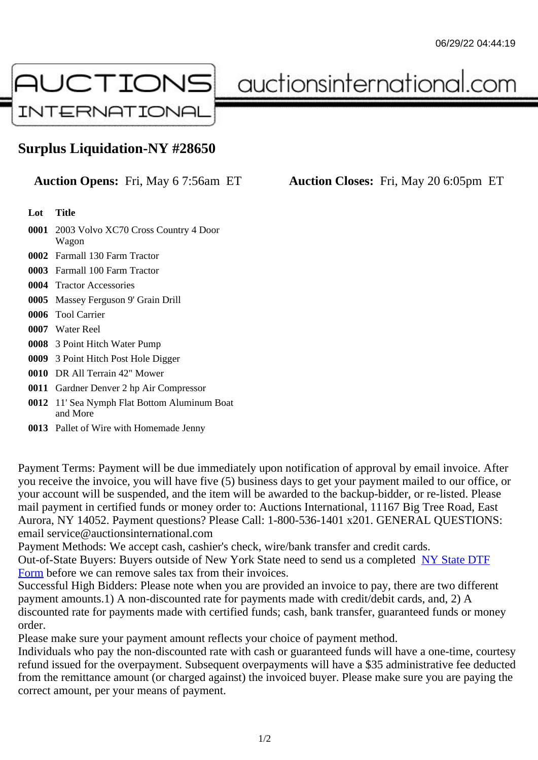## Surplus Liquidation-NY #28650

Auction Opens: Fri, May 6 7:56am ET Auction Closes: Fri, May 20 6:05pm ET

Lot Title

- 0001 2003 Volvo XC70 Cross Country 4 Door Wagon
- 0002 Farmall 130 Farm Tractor
- 0003 Farmall 100 Farm Tractor
- 0004 Tractor Accessories
- 0005 Massey Ferguson 9' Grain Drill
- 0006 Tool Carrier
- 0007 Water Reel
- 0008 3 Point Hitch Water Pump
- 0009 3 Point Hitch Post Hole Digger
- 0010 DR All Terrain 42" Mower
- 0011 Gardner Denver 2 hp Air Compressor
- 0012 11' Sea Nymph Flat Bottom Aluminum Boat and More
- 0013 Pallet of Wire with Homemade Jenny

Payment Terms: Payment will be due immediately upon notification of approval by email invoice. After you receive the invoice, you will have five (5) business days to get your payment mailed to our office, or your account will be suspended, and the item will be awarded to the backup-bidder, or re-listed. Please mail payment in certified funds or money order to: Auctions International, 11167 Big Tree Road, East Aurora, NY 14052. Payment questions? Please Call: 1-800-536-1401 x201. GENERAL QUESTIONS: email service@auctionsinternational.com

Payment Methods: We accept cash, cashier's check, wire/bank transfer and credit cards. Out-of-State Buyers: Buyers outside of New York State need to send us a com blestate DTF Form before we can remove sales tax from their invoices.

Successful High Bidders: Please note when you are provided an invoice to pay, there are two different payment amounts.1) A non-discounted rate for payments made with credit/de[bit cards, and](https://www.auctionsinternational.com/auxiliary/downloads/DTF_Form/dtf_fill_in.pdf), 2) A [disco](https://www.auctionsinternational.com/auxiliary/downloads/DTF_Form/dtf_fill_in.pdf)unted rate for payments made with certified funds; cash, bank transfer, guaranteed funds or mone order.

Please make sure your payment amount reflects your choice of payment method.

Individuals who pay the non-discounted rate with cash or guaranteed funds will have a one-time, courte refund issued for the overpayment. Subsequent overpayments will have a \$35 administrative fee deduc from the remittance amount (or charged against) the invoiced buyer. Please make sure you are paying correct amount, per your means of payment.